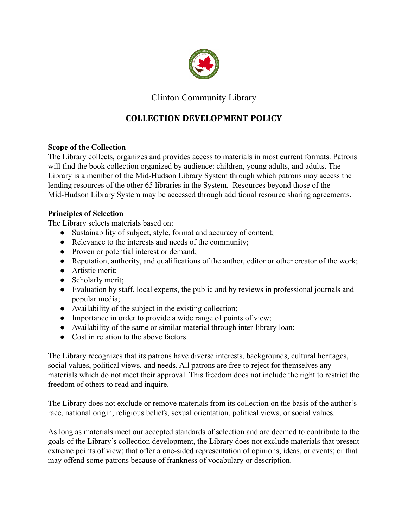

Clinton Community Library

# **COLLECTION DEVELOPMENT POLICY**

### **Scope of the Collection**

The Library collects, organizes and provides access to materials in most current formats. Patrons will find the book collection organized by audience: children, young adults, and adults. The Library is a member of the Mid-Hudson Library System through which patrons may access the lending resources of the other 65 libraries in the System. Resources beyond those of the Mid-Hudson Library System may be accessed through additional resource sharing agreements.

### **Principles of Selection**

The Library selects materials based on:

- Sustainability of subject, style, format and accuracy of content;
- Relevance to the interests and needs of the community;
- Proven or potential interest or demand;
- Reputation, authority, and qualifications of the author, editor or other creator of the work;
- Artistic merit;
- Scholarly merit;
- Evaluation by staff, local experts, the public and by reviews in professional journals and popular media;
- Availability of the subject in the existing collection;
- Importance in order to provide a wide range of points of view;
- Availability of the same or similar material through inter-library loan;
- Cost in relation to the above factors.

The Library recognizes that its patrons have diverse interests, backgrounds, cultural heritages, social values, political views, and needs. All patrons are free to reject for themselves any materials which do not meet their approval. This freedom does not include the right to restrict the freedom of others to read and inquire.

The Library does not exclude or remove materials from its collection on the basis of the author's race, national origin, religious beliefs, sexual orientation, political views, or social values.

As long as materials meet our accepted standards of selection and are deemed to contribute to the goals of the Library's collection development, the Library does not exclude materials that present extreme points of view; that offer a one-sided representation of opinions, ideas, or events; or that may offend some patrons because of frankness of vocabulary or description.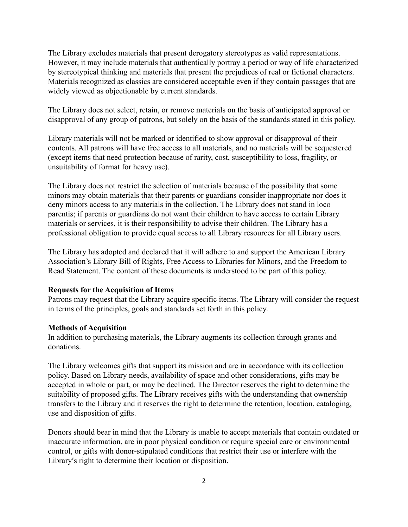The Library excludes materials that present derogatory stereotypes as valid representations. However, it may include materials that authentically portray a period or way of life characterized by stereotypical thinking and materials that present the prejudices of real or fictional characters. Materials recognized as classics are considered acceptable even if they contain passages that are widely viewed as objectionable by current standards.

The Library does not select, retain, or remove materials on the basis of anticipated approval or disapproval of any group of patrons, but solely on the basis of the standards stated in this policy.

Library materials will not be marked or identified to show approval or disapproval of their contents. All patrons will have free access to all materials, and no materials will be sequestered (except items that need protection because of rarity, cost, susceptibility to loss, fragility, or unsuitability of format for heavy use).

The Library does not restrict the selection of materials because of the possibility that some minors may obtain materials that their parents or guardians consider inappropriate nor does it deny minors access to any materials in the collection. The Library does not stand in loco parentis; if parents or guardians do not want their children to have access to certain Library materials or services, it is their responsibility to advise their children. The Library has a professional obligation to provide equal access to all Library resources for all Library users.

The Library has adopted and declared that it will adhere to and support the American Library Association's Library Bill of Rights, Free Access to Libraries for Minors, and the [Freedom to](http://starrlibrary.org/freedom-to-read-statement/) [Read Statement.](http://starrlibrary.org/freedom-to-read-statement/) The content of these documents is understood to be part of this policy.

#### **Requests for the Acquisition of Items**

Patrons may request that the Library acquire specific items. The Library will consider the request in terms of the principles, goals and standards set forth in this policy.

#### **Methods of Acquisition**

In addition to purchasing materials, the Library augments its collection through grants and donations.

The Library welcomes gifts that support its mission and are in accordance with its collection policy. Based on Library needs, availability of space and other considerations, gifts may be accepted in whole or part, or may be declined. The Director reserves the right to determine the suitability of proposed gifts. The Library receives gifts with the understanding that ownership transfers to the Library and it reserves the right to determine the retention, location, cataloging, use and disposition of gifts.

Donors should bear in mind that the Library is unable to accept materials that contain outdated or inaccurate information, are in poor physical condition or require special care or environmental control, or gifts with donor-stipulated conditions that restrict their use or interfere with the Library's right to determine their location or disposition.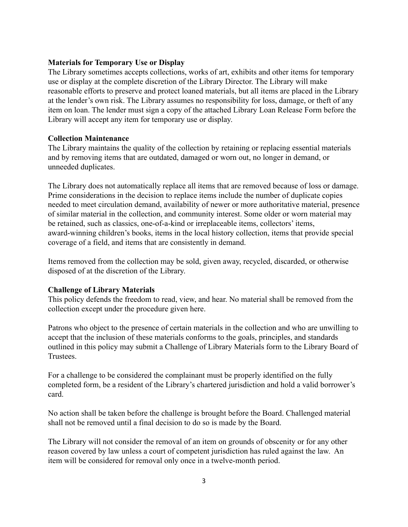#### **Materials for Temporary Use or Display**

The Library sometimes accepts collections, works of art, exhibits and other items for temporary use or display at the complete discretion of the Library Director. The Library will make reasonable efforts to preserve and protect loaned materials, but all items are placed in the Library at the lender's own risk. The Library assumes no responsibility for loss, damage, or theft of any item on loan. The lender must sign a copy of the attached Library Loan Release Form before the Library will accept any item for temporary use or display.

#### **Collection Maintenance**

The Library maintains the quality of the collection by retaining or replacing essential materials and by removing items that are outdated, damaged or worn out, no longer in demand, or unneeded duplicates.

The Library does not automatically replace all items that are removed because of loss or damage. Prime considerations in the decision to replace items include the number of duplicate copies needed to meet circulation demand, availability of newer or more authoritative material, presence of similar material in the collection, and community interest. Some older or worn material may be retained, such as classics, one-of-a-kind or irreplaceable items, collectors' items, award-winning children's books, items in the local history collection, items that provide special coverage of a field, and items that are consistently in demand.

Items removed from the collection may be sold, given away, recycled, discarded, or otherwise disposed of at the discretion of the Library.

#### **Challenge of Library Materials**

This policy defends the freedom to read, view, and hear. No material shall be removed from the collection except under the procedure given here.

Patrons who object to the presence of certain materials in the collection and who are unwilling to accept that the inclusion of these materials conforms to the goals, principles, and standards outlined in this policy may submit a Challenge of Library Materials form to the Library Board of **Trustees** 

For a challenge to be considered the complainant must be properly identified on the fully completed form, be a resident of the Library's chartered jurisdiction and hold a valid borrower's card.

No action shall be taken before the challenge is brought before the Board. Challenged material shall not be removed until a final decision to do so is made by the Board.

The Library will not consider the removal of an item on grounds of obscenity or for any other reason covered by law unless a court of competent jurisdiction has ruled against the law. An item will be considered for removal only once in a twelve-month period.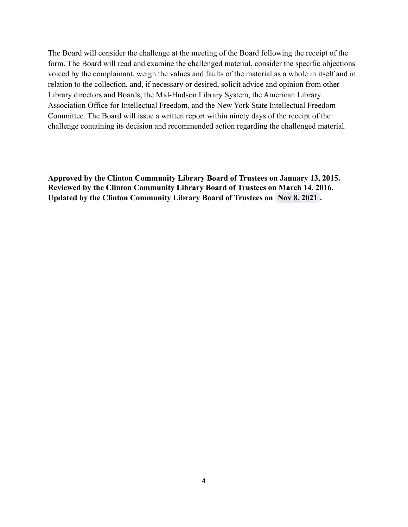The Board will consider the challenge at the meeting of the Board following the receipt of the form. The Board will read and examine the challenged material, consider the specific objections voiced by the complainant, weigh the values and faults of the material as a whole in itself and in relation to the collection, and, if necessary or desired, solicit advice and opinion from other Library directors and Boards, the Mid-Hudson Library System, the American Library Association Office for Intellectual Freedom, and the New York State Intellectual Freedom Committee. The Board will issue a written report within ninety days of the receipt of the challenge containing its decision and recommended action regarding the challenged material.

**Approved by the Clinton Community Library Board of Trustees on January 13, 2015. Reviewed by the Clinton Community Library Board of Trustees on March 14, 2016. Updated by the Clinton Community Library Board of Trustees on Nov 8, 2021 .**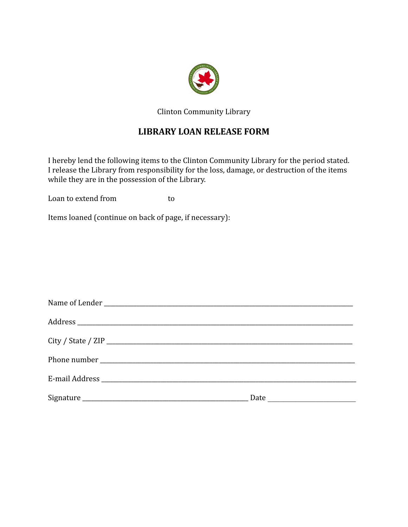

Clinton Community Library

## **LIBRARY LOAN RELEASE FORM**

I hereby lend the following items to the Clinton Community Library for the period stated. I release the Library from responsibility for the loss, damage, or destruction of the items while they are in the possession of the Library.

Loan to extend from to to

Items loaned (continue on back of page, if necessary):

| Date <u>______________</u> |  |
|----------------------------|--|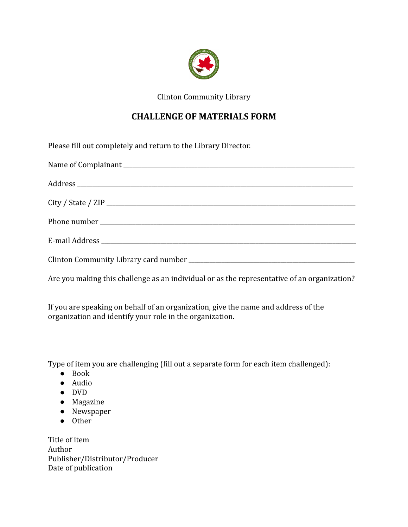

Clinton Community Library

## **CHALLENGE OF MATERIALS FORM**

Please fill out completely and return to the Library Director.

Are you making this challenge as an individual or as the representative of an organization?

If you are speaking on behalf of an organization, give the name and address of the organization and identify your role in the organization.

Type of item you are challenging (fill out a separate form for each item challenged):

- Book
- Audio
- DVD
- Magazine
- Newspaper
- Other

Title of item Author Publisher/Distributor/Producer Date of publication